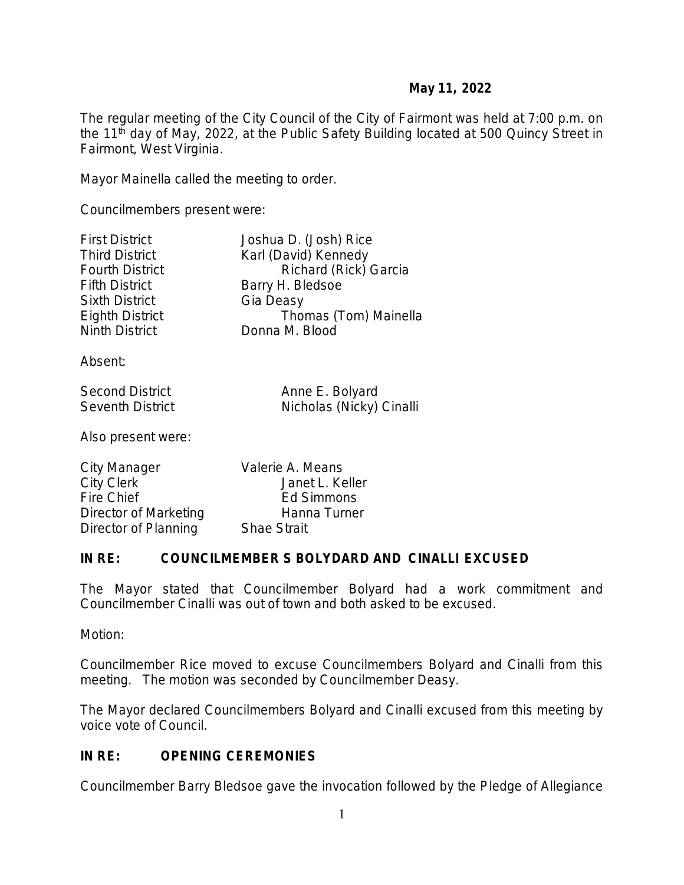The regular meeting of the City Council of the City of Fairmont was held at 7:00 p.m. on the 11<sup>th</sup> day of May, 2022, at the Public Safety Building located at 500 Quincy Street in Fairmont, West Virginia.

Mayor Mainella called the meeting to order.

Councilmembers present were:

| <b>First District</b>  | Joshua D. (Josh) Rice |
|------------------------|-----------------------|
| <b>Third District</b>  | Karl (David) Kennedy  |
| <b>Fourth District</b> | Richard (Rick) Garcia |
| <b>Fifth District</b>  | Barry H. Bledsoe      |
| <b>Sixth District</b>  | Gia Deasy             |
| <b>Eighth District</b> | Thomas (Tom) Mainella |
| <b>Ninth District</b>  | Donna M. Blood        |
| Absent:                |                       |

Absent:

Second District **Anne E. Bolyard**<br>
Seventh District **Anne E. Bolyard**<br>
Nicholas (Nicky) Nicholas (Nicky) Cinalli

Also present were:

| City Manager          | Valerie A. Means   |
|-----------------------|--------------------|
| City Clerk            | Janet L. Keller    |
| Fire Chief            | Ed Simmons         |
| Director of Marketing | Hanna Turner       |
| Director of Planning  | <b>Shae Strait</b> |

#### **IN RE: COUNCILMEMBER S BOLYDARD AND CINALLI EXCUSED**

The Mayor stated that Councilmember Bolyard had a work commitment and Councilmember Cinalli was out of town and both asked to be excused.

Motion:

Councilmember Rice moved to excuse Councilmembers Bolyard and Cinalli from this meeting. The motion was seconded by Councilmember Deasy.

The Mayor declared Councilmembers Bolyard and Cinalli excused from this meeting by voice vote of Council.

### **IN RE: OPENING CEREMONIES**

Councilmember Barry Bledsoe gave the invocation followed by the Pledge of Allegiance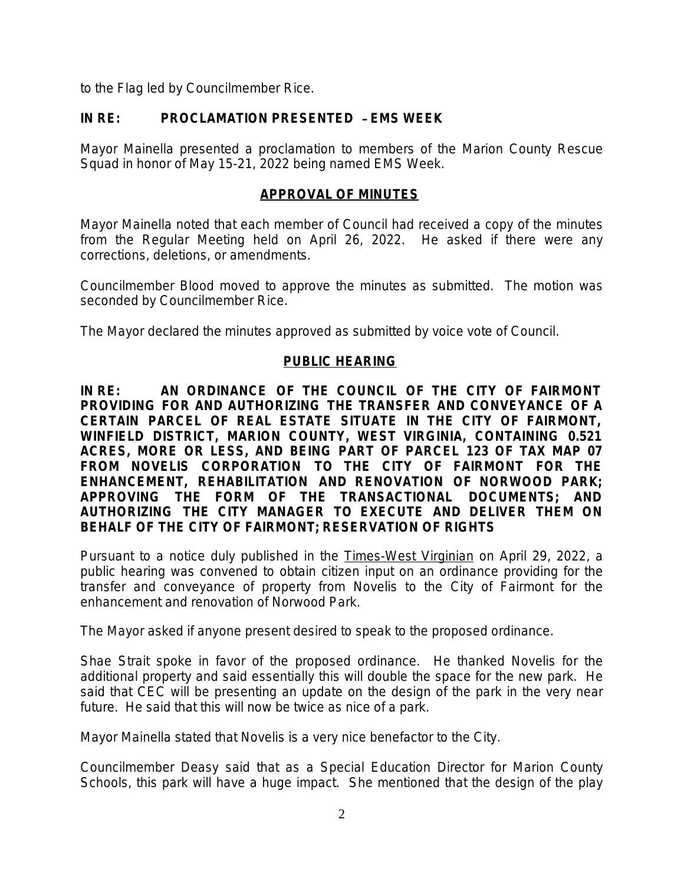to the Flag led by Councilmember Rice.

### **IN RE: PROCLAMATION PRESENTED** – **EMS WEEK**

Mayor Mainella presented a proclamation to members of the Marion County Rescue Squad in honor of May 15-21, 2022 being named EMS Week.

### **APPROVAL OF MINUTES**

Mayor Mainella noted that each member of Council had received a copy of the minutes from the Regular Meeting held on April 26, 2022. He asked if there were any corrections, deletions, or amendments.

Councilmember Blood moved to approve the minutes as submitted. The motion was seconded by Councilmember Rice.

The Mayor declared the minutes approved as submitted by voice vote of Council.

### **PUBLIC HEARING**

**IN RE: AN ORDINANCE OF THE COUNCIL OF THE CITY OF FAIRMONT PROVIDING FOR AND AUTHORIZING THE TRANSFER AND CONVEYANCE OF A CERTAIN PARCEL OF REAL ESTATE SITUATE IN THE CITY OF FAIRMONT, WINFIELD DISTRICT, MARION COUNTY, WEST VIRGINIA, CONTAINING 0.521 ACRES, MORE OR LESS, AND BEING PART OF PARCEL 123 OF TAX MAP 07 FROM NOVELIS CORPORATION TO THE CITY OF FAIRMONT FOR THE ENHANCEMENT, REHABILITATION AND RENOVATION OF NORWOOD PARK; APPROVING THE FORM OF THE TRANSACTIONAL DOCUMENTS; AND AUTHORIZING THE CITY MANAGER TO EXECUTE AND DELIVER THEM ON BEHALF OF THE CITY OF FAIRMONT; RESERVATION OF RIGHTS** 

Pursuant to a notice duly published in the Times-West Virginian on April 29, 2022, a public hearing was convened to obtain citizen input on an ordinance providing for the transfer and conveyance of property from Novelis to the City of Fairmont for the enhancement and renovation of Norwood Park.

The Mayor asked if anyone present desired to speak to the proposed ordinance.

Shae Strait spoke in favor of the proposed ordinance. He thanked Novelis for the additional property and said essentially this will double the space for the new park. He said that CEC will be presenting an update on the design of the park in the very near future. He said that this will now be twice as nice of a park.

Mayor Mainella stated that Novelis is a very nice benefactor to the City.

Councilmember Deasy said that as a Special Education Director for Marion County Schools, this park will have a huge impact. She mentioned that the design of the play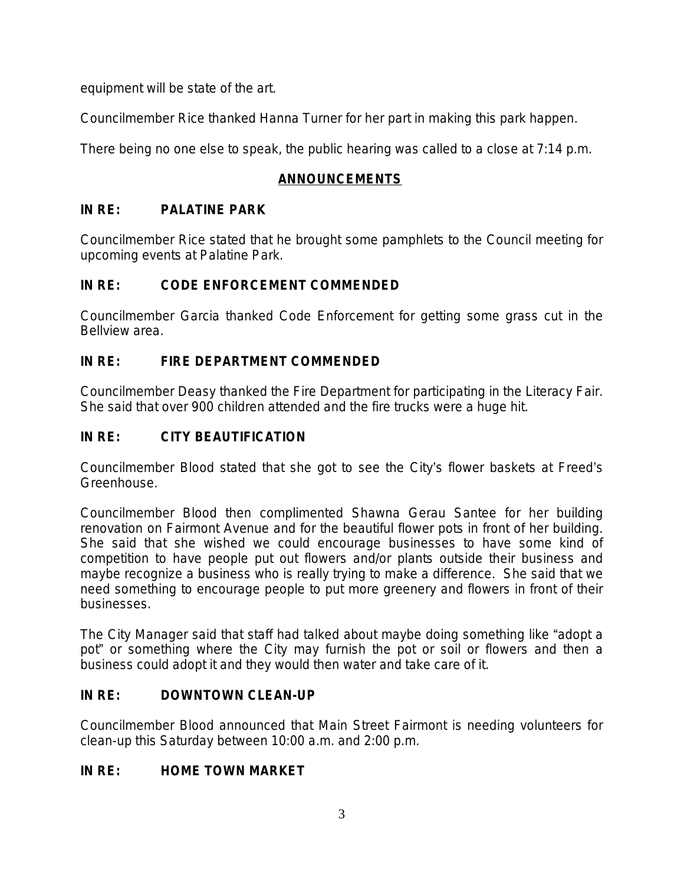equipment will be state of the art.

Councilmember Rice thanked Hanna Turner for her part in making this park happen.

There being no one else to speak, the public hearing was called to a close at 7:14 p.m.

## **ANNOUNCEMENTS**

# **IN RE: PALATINE PARK**

Councilmember Rice stated that he brought some pamphlets to the Council meeting for upcoming events at Palatine Park.

# **IN RE: CODE ENFORCEMENT COMMENDED**

Councilmember Garcia thanked Code Enforcement for getting some grass cut in the Bellview area.

# **IN RE: FIRE DEPARTMENT COMMENDED**

Councilmember Deasy thanked the Fire Department for participating in the Literacy Fair. She said that over 900 children attended and the fire trucks were a huge hit.

# **IN RE: CITY BEAUTIFICATION**

Councilmember Blood stated that she got to see the City's flower baskets at Freed's Greenhouse.

Councilmember Blood then complimented Shawna Gerau Santee for her building renovation on Fairmont Avenue and for the beautiful flower pots in front of her building. She said that she wished we could encourage businesses to have some kind of competition to have people put out flowers and/or plants outside their business and maybe recognize a business who is really trying to make a difference. She said that we need something to encourage people to put more greenery and flowers in front of their businesses.

The City Manager said that staff had talked about maybe doing something like "adopt a pot" or something where the City may furnish the pot or soil or flowers and then a business could adopt it and they would then water and take care of it.

## **IN RE: DOWNTOWN CLEAN-UP**

Councilmember Blood announced that Main Street Fairmont is needing volunteers for clean-up this Saturday between 10:00 a.m. and 2:00 p.m.

## **IN RE: HOME TOWN MARKET**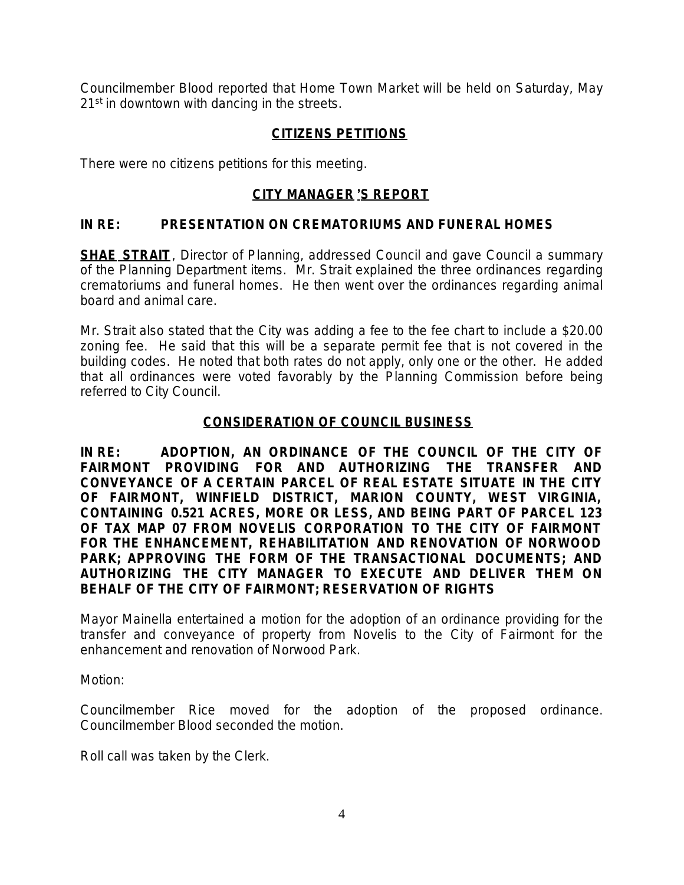Councilmember Blood reported that Home Town Market will be held on Saturday, May 21<sup>st</sup> in downtown with dancing in the streets.

### **CITIZENS PETITIONS**

There were no citizens petitions for this meeting.

### **CITY MANAGER** '**S REPORT**

#### **IN RE: PRESENTATION ON CREMATORIUMS AND FUNERAL HOMES**

**SHAE STRAIT**, Director of Planning, addressed Council and gave Council a summary of the Planning Department items. Mr. Strait explained the three ordinances regarding crematoriums and funeral homes. He then went over the ordinances regarding animal board and animal care.

Mr. Strait also stated that the City was adding a fee to the fee chart to include a \$20.00 zoning fee. He said that this will be a separate permit fee that is not covered in the building codes. He noted that both rates do not apply, only one or the other. He added that all ordinances were voted favorably by the Planning Commission before being referred to City Council.

#### **CONSIDERATION OF COUNCIL BUSINESS**

**IN RE: ADOPTION, AN ORDINANCE OF THE COUNCIL OF THE CITY OF FAIRMONT PROVIDING FOR AND AUTHORIZING THE TRANSFER AND CONVEYANCE OF A CERTAIN PARCEL OF REAL ESTATE SITUATE IN THE CITY OF FAIRMONT, WINFIELD DISTRICT, MARION COUNTY, WEST VIRGINIA, CONTAINING 0.521 ACRES, MORE OR LESS, AND BEING PART OF PARCEL 123 OF TAX MAP 07 FROM NOVELIS CORPORATION TO THE CITY OF FAIRMONT FOR THE ENHANCEMENT, REHABILITATION AND RENOVATION OF NORWOOD PARK; APPROVING THE FORM OF THE TRANSACTIONAL DOCUMENTS; AND AUTHORIZING THE CITY MANAGER TO EXECUTE AND DELIVER THEM ON BEHALF OF THE CITY OF FAIRMONT; RESERVATION OF RIGHTS** 

Mayor Mainella entertained a motion for the adoption of an ordinance providing for the transfer and conveyance of property from Novelis to the City of Fairmont for the enhancement and renovation of Norwood Park.

Motion:

Councilmember Rice moved for the adoption of the proposed ordinance. Councilmember Blood seconded the motion.

Roll call was taken by the Clerk.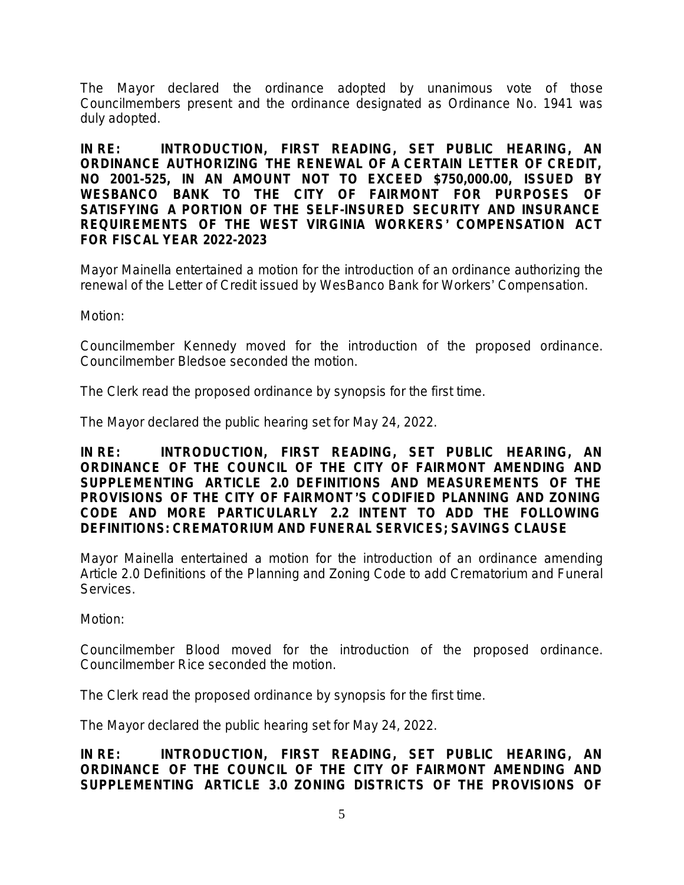The Mayor declared the ordinance adopted by unanimous vote of those Councilmembers present and the ordinance designated as Ordinance No. 1941 was duly adopted.

**IN RE: INTRODUCTION, FIRST READING, SET PUBLIC HEARING, AN ORDINANCE AUTHORIZING THE RENEWAL OF A CERTAIN LETTER OF CREDIT, NO 2001-525, IN AN AMOUNT NOT TO EXCEED \$750,000.00, ISSUED BY WESBANCO BANK TO THE CITY OF FAIRMONT FOR PURPOSES OF SATISFYING A PORTION OF THE SELF-INSURED SECURITY AND INSURANCE REQUIREMENTS OF THE WEST VIRGINIA WORKERS**' **COMPENSATION ACT FOR FISCAL YEAR 2022-2023**

Mayor Mainella entertained a motion for the introduction of an ordinance authorizing the renewal of the Letter of Credit issued by WesBanco Bank for Workers' Compensation.

Motion:

Councilmember Kennedy moved for the introduction of the proposed ordinance. Councilmember Bledsoe seconded the motion.

The Clerk read the proposed ordinance by synopsis for the first time.

The Mayor declared the public hearing set for May 24, 2022.

**IN RE: INTRODUCTION, FIRST READING, SET PUBLIC HEARING, AN ORDINANCE OF THE COUNCIL OF THE CITY OF FAIRMONT AMENDING AND SUPPLEMENTING** *ARTICLE 2.0 DEFINITIONS AND MEASUREMENTS* **OF THE PROVISIONS OF THE CITY OF FAIRMONT**'**S CODIFIED PLANNING AND ZONING CODE AND MORE PARTICULARLY 2.2 INTENT TO ADD THE FOLLOWING DEFINITIONS: CREMATORIUM AND FUNERAL SERVICES; SAVINGS CLAUSE**

Mayor Mainella entertained a motion for the introduction of an ordinance amending Article 2.0 Definitions of the Planning and Zoning Code to add Crematorium and Funeral Services.

Motion:

Councilmember Blood moved for the introduction of the proposed ordinance. Councilmember Rice seconded the motion.

The Clerk read the proposed ordinance by synopsis for the first time.

The Mayor declared the public hearing set for May 24, 2022.

**IN RE: INTRODUCTION, FIRST READING, SET PUBLIC HEARING, AN ORDINANCE OF THE COUNCIL OF THE CITY OF FAIRMONT AMENDING AND SUPPLEMENTING** *ARTICLE 3.0 ZONING DISTRICTS* **OF THE PROVISIONS OF**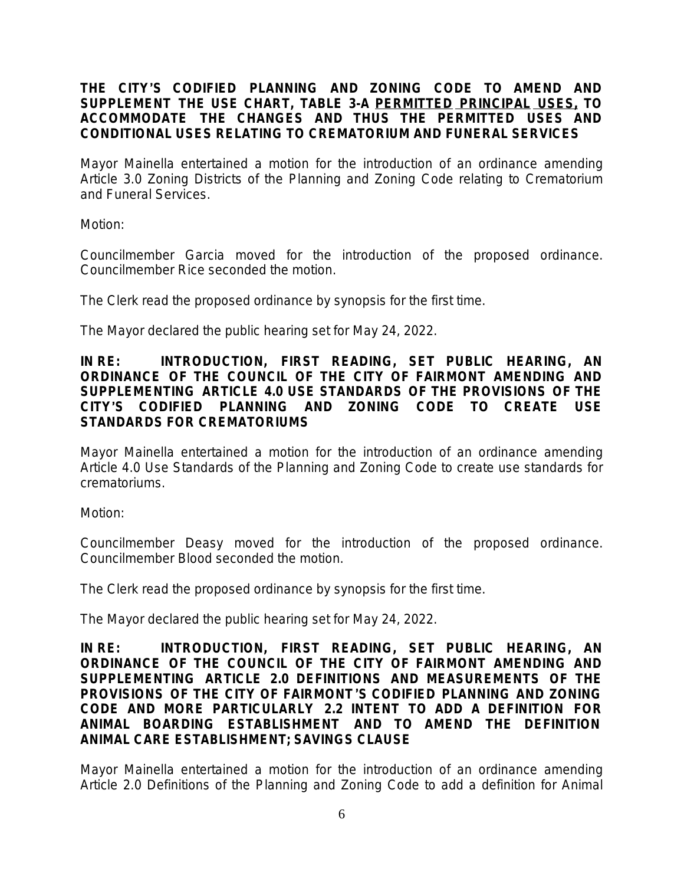#### **THE CITY**'**S CODIFIED PLANNING AND ZONING CODE TO AMEND AND SUPPLEMENT THE USE CHART, TABLE 3-A PERMITTED PRINCIPAL USES, TO ACCOMMODATE THE CHANGES AND THUS THE PERMITTED USES AND CONDITIONAL USES RELATING TO CREMATORIUM AND FUNERAL SERVICES**

Mayor Mainella entertained a motion for the introduction of an ordinance amending Article 3.0 Zoning Districts of the Planning and Zoning Code relating to Crematorium and Funeral Services.

Motion:

Councilmember Garcia moved for the introduction of the proposed ordinance. Councilmember Rice seconded the motion.

The Clerk read the proposed ordinance by synopsis for the first time.

The Mayor declared the public hearing set for May 24, 2022.

#### **IN RE: INTRODUCTION, FIRST READING, SET PUBLIC HEARING, AN ORDINANCE OF THE COUNCIL OF THE CITY OF FAIRMONT AMENDING AND SUPPLEMENTING** *ARTICLE 4.0 USE STANDARDS OF* **THE PROVISIONS OF THE CITY**'**S CODIFIED PLANNING AND ZONING CODE TO CREATE USE STANDARDS FOR CREMATORIUMS**

Mayor Mainella entertained a motion for the introduction of an ordinance amending Article 4.0 Use Standards of the Planning and Zoning Code to create use standards for crematoriums.

Motion:

Councilmember Deasy moved for the introduction of the proposed ordinance. Councilmember Blood seconded the motion.

The Clerk read the proposed ordinance by synopsis for the first time.

The Mayor declared the public hearing set for May 24, 2022.

**IN RE: INTRODUCTION, FIRST READING, SET PUBLIC HEARING, AN ORDINANCE OF THE COUNCIL OF THE CITY OF FAIRMONT AMENDING AND SUPPLEMENTING** *ARTICLE 2.0 DEFINITIONS AND MEASUREMENTS* **OF THE PROVISIONS OF THE CITY OF FAIRMONT**'**S CODIFIED PLANNING AND ZONING CODE AND MORE PARTICULARLY 2.2 INTENT TO ADD A DEFINITION FOR ANIMAL BOARDING ESTABLISHMENT AND TO AMEND THE DEFINITION ANIMAL CARE ESTABLISHMENT; SAVINGS CLAUSE**

Mayor Mainella entertained a motion for the introduction of an ordinance amending Article 2.0 Definitions of the Planning and Zoning Code to add a definition for Animal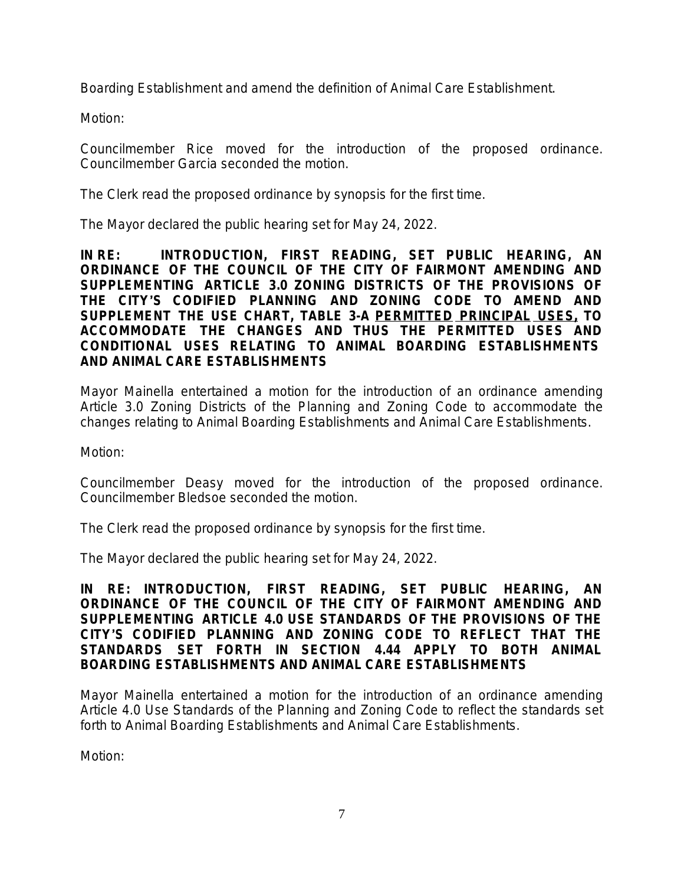Boarding Establishment and amend the definition of Animal Care Establishment.

Motion:

Councilmember Rice moved for the introduction of the proposed ordinance. Councilmember Garcia seconded the motion.

The Clerk read the proposed ordinance by synopsis for the first time.

The Mayor declared the public hearing set for May 24, 2022.

**IN RE: INTRODUCTION, FIRST READING, SET PUBLIC HEARING, AN ORDINANCE OF THE COUNCIL OF THE CITY OF FAIRMONT AMENDING AND SUPPLEMENTING** *ARTICLE 3.0 ZONING DISTRICTS* **OF THE PROVISIONS OF THE CITY**'**S CODIFIED PLANNING AND ZONING CODE TO AMEND AND SUPPLEMENT THE USE CHART, TABLE 3-A PERMITTED PRINCIPAL USES, TO ACCOMMODATE THE CHANGES AND THUS THE PERMITTED USES AND CONDITIONAL USES RELATING TO ANIMAL BOARDING ESTABLISHMENTS AND ANIMAL CARE ESTABLISHMENTS**

Mayor Mainella entertained a motion for the introduction of an ordinance amending Article 3.0 Zoning Districts of the Planning and Zoning Code to accommodate the changes relating to Animal Boarding Establishments and Animal Care Establishments.

Motion:

Councilmember Deasy moved for the introduction of the proposed ordinance. Councilmember Bledsoe seconded the motion.

The Clerk read the proposed ordinance by synopsis for the first time.

The Mayor declared the public hearing set for May 24, 2022.

**IN RE: INTRODUCTION, FIRST READING, SET PUBLIC HEARING, AN ORDINANCE OF THE COUNCIL OF THE CITY OF FAIRMONT AMENDING AND SUPPLEMENTING** *ARTICLE 4.0 USE STANDARDS OF* **THE PROVISIONS OF THE CITY**'**S CODIFIED PLANNING AND ZONING CODE TO REFLECT THAT THE STANDARDS SET FORTH IN SECTION 4.44 APPLY TO BOTH ANIMAL BOARDING ESTABLISHMENTS AND ANIMAL CARE ESTABLISHMENTS**

Mayor Mainella entertained a motion for the introduction of an ordinance amending Article 4.0 Use Standards of the Planning and Zoning Code to reflect the standards set forth to Animal Boarding Establishments and Animal Care Establishments.

Motion: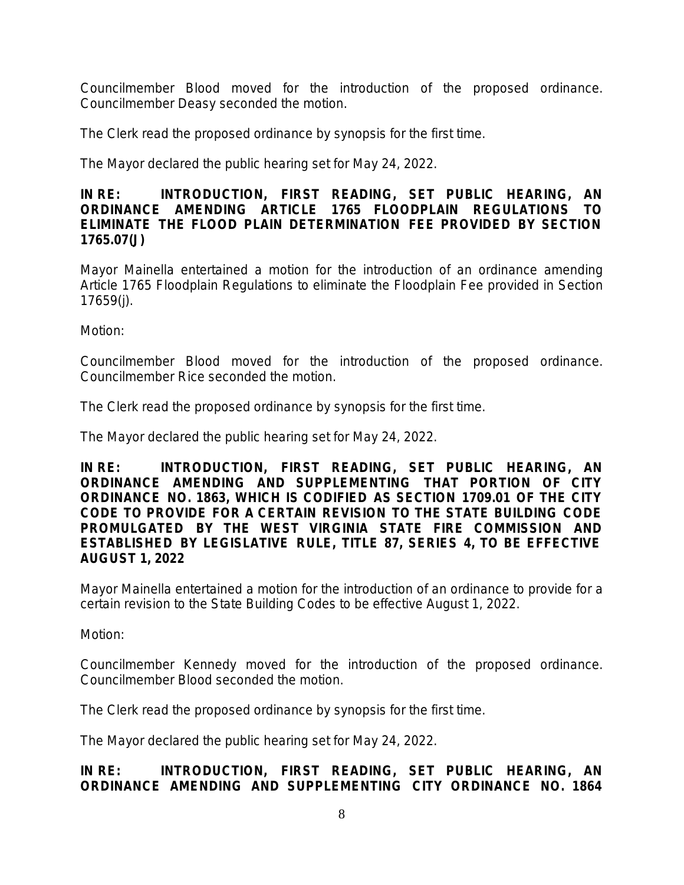Councilmember Blood moved for the introduction of the proposed ordinance. Councilmember Deasy seconded the motion.

The Clerk read the proposed ordinance by synopsis for the first time.

The Mayor declared the public hearing set for May 24, 2022.

### **IN RE: INTRODUCTION, FIRST READING, SET PUBLIC HEARING, AN ORDINANCE AMENDING ARTICLE 1765** *FLOODPLAIN REGULATIONS* **TO ELIMINATE THE FLOOD PLAIN DETERMINATION FEE PROVIDED BY SECTION 1765.07(J)**

Mayor Mainella entertained a motion for the introduction of an ordinance amending Article 1765 Floodplain Regulations to eliminate the Floodplain Fee provided in Section 17659(j).

Motion:

Councilmember Blood moved for the introduction of the proposed ordinance. Councilmember Rice seconded the motion.

The Clerk read the proposed ordinance by synopsis for the first time.

The Mayor declared the public hearing set for May 24, 2022.

**IN RE: INTRODUCTION, FIRST READING, SET PUBLIC HEARING, AN ORDINANCE AMENDING AND SUPPLEMENTING THAT PORTION OF CITY ORDINANCE NO. 1863, WHICH IS CODIFIED AS SECTION 1709.01 OF THE CITY CODE TO PROVIDE FOR A CERTAIN REVISION TO THE STATE BUILDING CODE PROMULGATED BY THE WEST VIRGINIA STATE FIRE COMMISSION AND ESTABLISHED BY LEGISLATIVE RULE, TITLE 87, SERIES 4, TO BE EFFECTIVE AUGUST 1, 2022** 

Mayor Mainella entertained a motion for the introduction of an ordinance to provide for a certain revision to the State Building Codes to be effective August 1, 2022.

Motion:

Councilmember Kennedy moved for the introduction of the proposed ordinance. Councilmember Blood seconded the motion.

The Clerk read the proposed ordinance by synopsis for the first time.

The Mayor declared the public hearing set for May 24, 2022.

### **IN RE: INTRODUCTION, FIRST READING, SET PUBLIC HEARING, AN ORDINANCE AMENDING AND SUPPLEMENTING CITY ORDINANCE NO. 1864**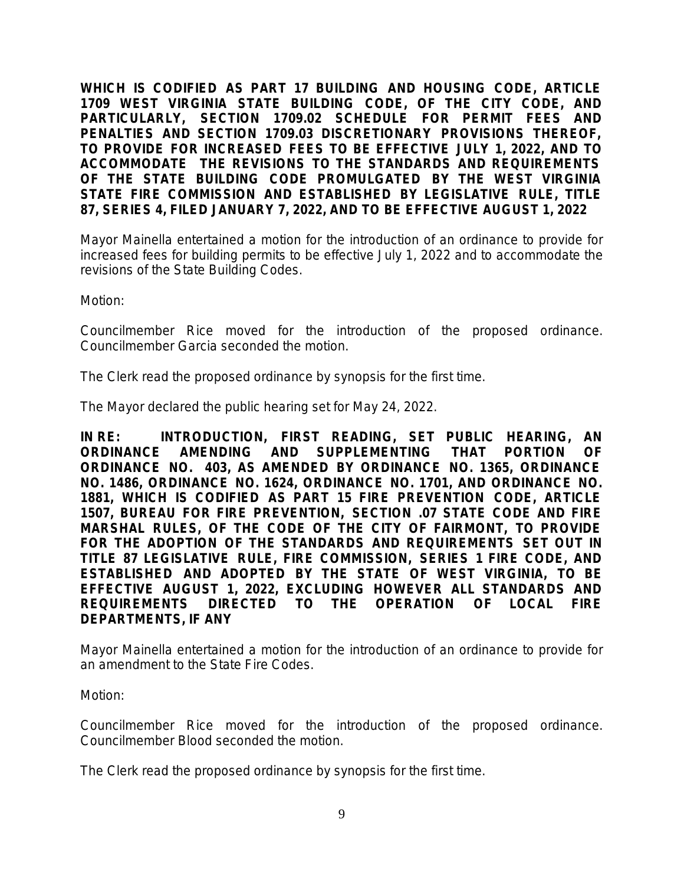**WHICH IS CODIFIED AS PART 17 BUILDING AND HOUSING CODE, ARTICLE 1709 WEST VIRGINIA STATE BUILDING CODE, OF THE CITY CODE, AND PARTICULARLY, SECTION 1709.02 SCHEDULE FOR PERMIT FEES AND PENALTIES AND SECTION 1709.03 DISCRETIONARY PROVISIONS THEREOF, TO PROVIDE FOR INCREASED FEES TO BE EFFECTIVE JULY 1, 2022, AND TO ACCOMMODATE THE REVISIONS TO THE STANDARDS AND REQUIREMENTS OF THE STATE BUILDING CODE PROMULGATED BY THE WEST VIRGINIA STATE FIRE COMMISSION AND ESTABLISHED BY LEGISLATIVE RULE, TITLE 87, SERIES 4, FILED JANUARY 7, 2022, AND TO BE EFFECTIVE AUGUST 1, 2022**

Mayor Mainella entertained a motion for the introduction of an ordinance to provide for increased fees for building permits to be effective July 1, 2022 and to accommodate the revisions of the State Building Codes.

Motion:

Councilmember Rice moved for the introduction of the proposed ordinance. Councilmember Garcia seconded the motion.

The Clerk read the proposed ordinance by synopsis for the first time.

The Mayor declared the public hearing set for May 24, 2022.

**IN RE: INTRODUCTION, FIRST READING, SET PUBLIC HEARING, AN ORDINANCE AMENDING AND SUPPLEMENTING THAT PORTION OF ORDINANCE NO. 403, AS AMENDED BY ORDINANCE NO. 1365, ORDINANCE NO. 1486, ORDINANCE NO. 1624, ORDINANCE NO. 1701, AND ORDINANCE NO. 1881, WHICH IS CODIFIED AS PART 15 FIRE PREVENTION CODE, ARTICLE 1507, BUREAU FOR FIRE PREVENTION, SECTION .07 STATE CODE AND FIRE MARSHAL RULES, OF THE CODE OF THE CITY OF FAIRMONT, TO PROVIDE FOR THE ADOPTION OF THE STANDARDS AND REQUIREMENTS SET OUT IN TITLE 87 LEGISLATIVE RULE, FIRE COMMISSION, SERIES 1 FIRE CODE, AND ESTABLISHED AND ADOPTED BY THE STATE OF WEST VIRGINIA, TO BE EFFECTIVE AUGUST 1, 2022, EXCLUDING HOWEVER ALL STANDARDS AND REQUIREMENTS DIRECTED TO THE OPERATION OF LOCAL FIRE DEPARTMENTS, IF ANY**

Mayor Mainella entertained a motion for the introduction of an ordinance to provide for an amendment to the State Fire Codes.

Motion:

Councilmember Rice moved for the introduction of the proposed ordinance. Councilmember Blood seconded the motion.

The Clerk read the proposed ordinance by synopsis for the first time.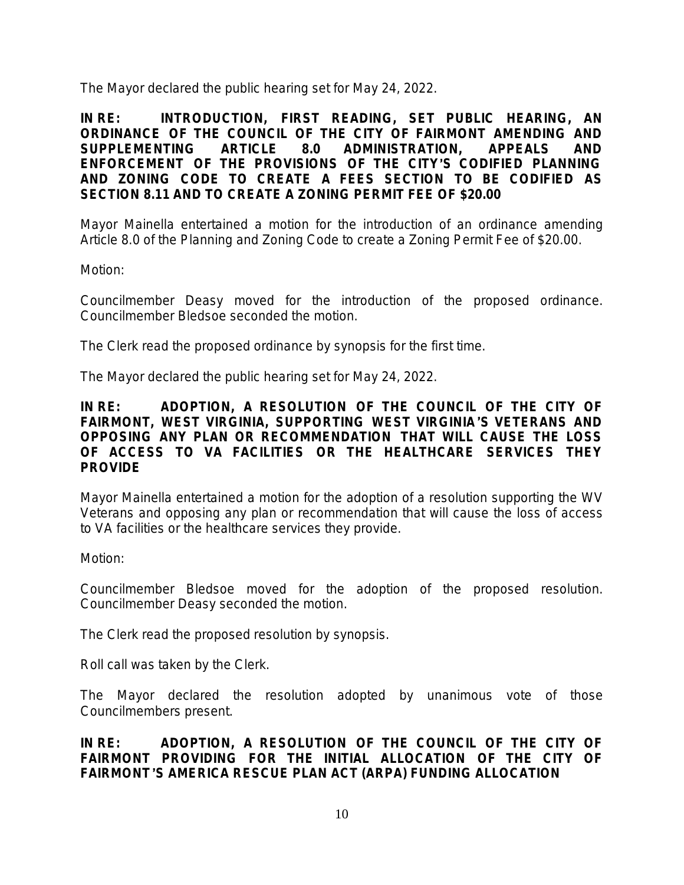The Mayor declared the public hearing set for May 24, 2022.

**IN RE: INTRODUCTION, FIRST READING, SET PUBLIC HEARING, AN ORDINANCE OF THE COUNCIL OF THE CITY OF FAIRMONT AMENDING AND SUPPLEMENTING** *ARTICLE 8.0 ADMINISTRATION, APPEALS AND ENFORCEMENT* **OF THE PROVISIONS OF THE CITY**'**S CODIFIED PLANNING AND ZONING CODE TO CREATE A FEES SECTION TO BE CODIFIED AS SECTION 8.11 AND TO CREATE A ZONING PERMIT FEE OF \$20.00**

Mayor Mainella entertained a motion for the introduction of an ordinance amending Article 8.0 of the Planning and Zoning Code to create a Zoning Permit Fee of \$20.00.

Motion:

Councilmember Deasy moved for the introduction of the proposed ordinance. Councilmember Bledsoe seconded the motion.

The Clerk read the proposed ordinance by synopsis for the first time.

The Mayor declared the public hearing set for May 24, 2022.

#### **IN RE: ADOPTION, A RESOLUTION OF THE COUNCIL OF THE CITY OF FAIRMONT, WEST VIRGINIA, SUPPORTING WEST VIRGINIA**'**S VETERANS AND OPPOSING ANY PLAN OR RECOMMENDATION THAT WILL CAUSE THE LOSS OF ACCESS TO VA FACILITIES OR THE HEALTHCARE SERVICES THEY PROVIDE**

Mayor Mainella entertained a motion for the adoption of a resolution supporting the WV Veterans and opposing any plan or recommendation that will cause the loss of access to VA facilities or the healthcare services they provide.

Motion:

Councilmember Bledsoe moved for the adoption of the proposed resolution. Councilmember Deasy seconded the motion.

The Clerk read the proposed resolution by synopsis.

Roll call was taken by the Clerk.

The Mayor declared the resolution adopted by unanimous vote of those Councilmembers present.

**IN RE: ADOPTION, A RESOLUTION OF THE COUNCIL OF THE CITY OF FAIRMONT PROVIDING FOR THE INITIAL ALLOCATION OF THE CITY OF FAIRMONT**'**S AMERICA RESCUE PLAN ACT (ARPA) FUNDING ALLOCATION**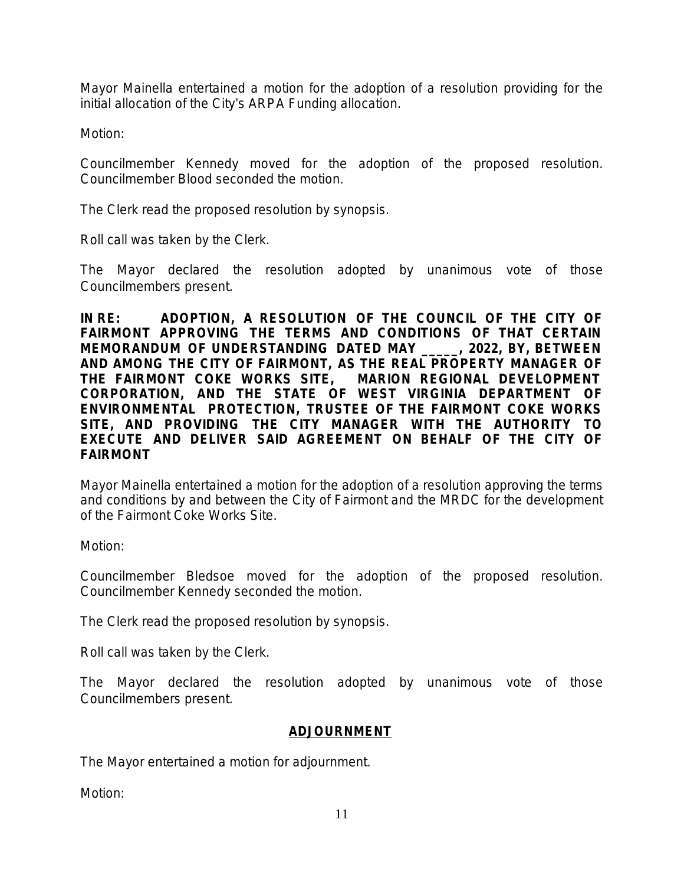Mayor Mainella entertained a motion for the adoption of a resolution providing for the initial allocation of the City's ARPA Funding allocation.

Motion:

Councilmember Kennedy moved for the adoption of the proposed resolution. Councilmember Blood seconded the motion.

The Clerk read the proposed resolution by synopsis.

Roll call was taken by the Clerk.

The Mayor declared the resolution adopted by unanimous vote of those Councilmembers present.

**IN RE: ADOPTION, A RESOLUTION OF THE COUNCIL OF THE CITY OF FAIRMONT APPROVING THE TERMS AND CONDITIONS OF THAT CERTAIN MEMORANDUM OF UNDERSTANDING DATED MAY \_\_\_\_\_, 2022, BY, BETWEEN AND AMONG THE CITY OF FAIRMONT, AS THE REAL PROPERTY MANAGER OF THE FAIRMONT COKE WORKS SITE, MARION REGIONAL DEVELOPMENT CORPORATION, AND THE STATE OF WEST VIRGINIA DEPARTMENT OF ENVIRONMENTAL PROTECTION, TRUSTEE OF THE FAIRMONT COKE WORKS SITE, AND PROVIDING THE CITY MANAGER WITH THE AUTHORITY TO EXECUTE AND DELIVER SAID AGREEMENT ON BEHALF OF THE CITY OF FAIRMONT**

Mayor Mainella entertained a motion for the adoption of a resolution approving the terms and conditions by and between the City of Fairmont and the MRDC for the development of the Fairmont Coke Works Site.

Motion:

Councilmember Bledsoe moved for the adoption of the proposed resolution. Councilmember Kennedy seconded the motion.

The Clerk read the proposed resolution by synopsis.

Roll call was taken by the Clerk.

The Mayor declared the resolution adopted by unanimous vote of those Councilmembers present.

#### **ADJOURNMENT**

The Mayor entertained a motion for adjournment.

Motion: